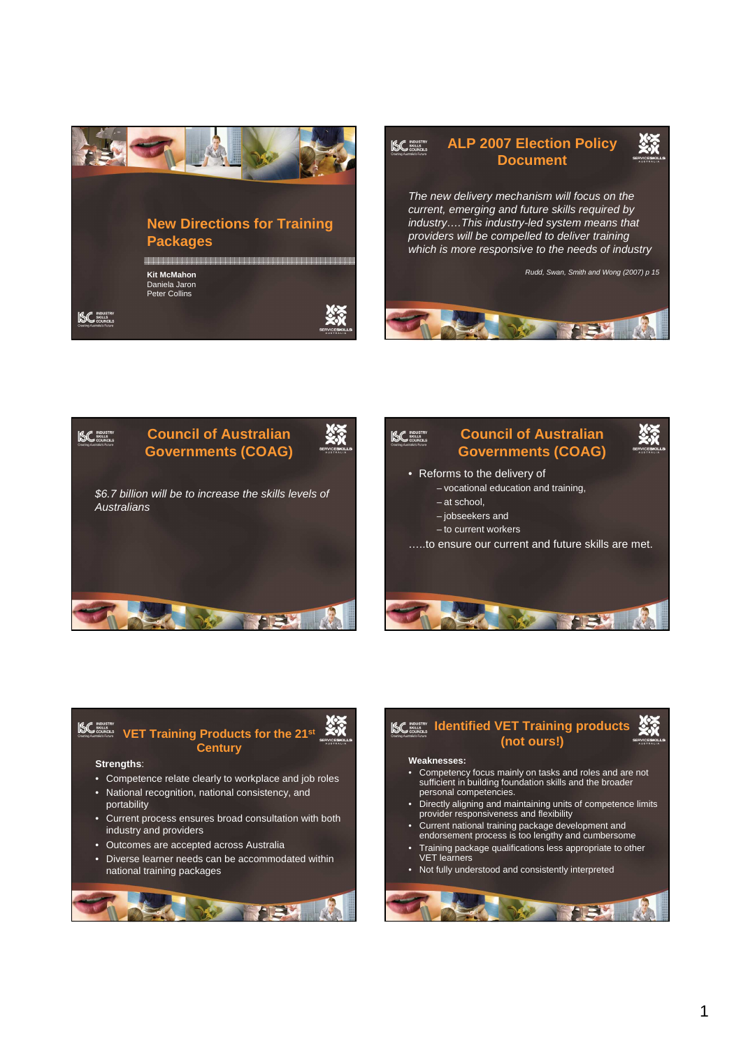





## **VET Training Products for the 21st Century**

## **Strengths**:

- Competence relate clearly to workplace and job roles
- National recognition, national consistency, and portability
- Current process ensures broad consultation with both industry and providers
- Outcomes are accepted across Australia
- Diverse learner needs can be accommodated within national training packages

## **ISC** SOLUSTING **IDDER IN A LIGARITY IS A LIGAR CONDUCT SOLUTER (not ours!) Weaknesses:**

- Competency focus mainly on tasks and roles and are not sufficient in building foundation skills and the broader personal competencies.
- Directly aligning and maintaining units of competence limits provider responsiveness and flexibility
- Current national training package development and endorsement process is too lengthy and cumbersome
- Training package qualifications less appropriate to other VET learners
- Not fully understood and consistently interpreted